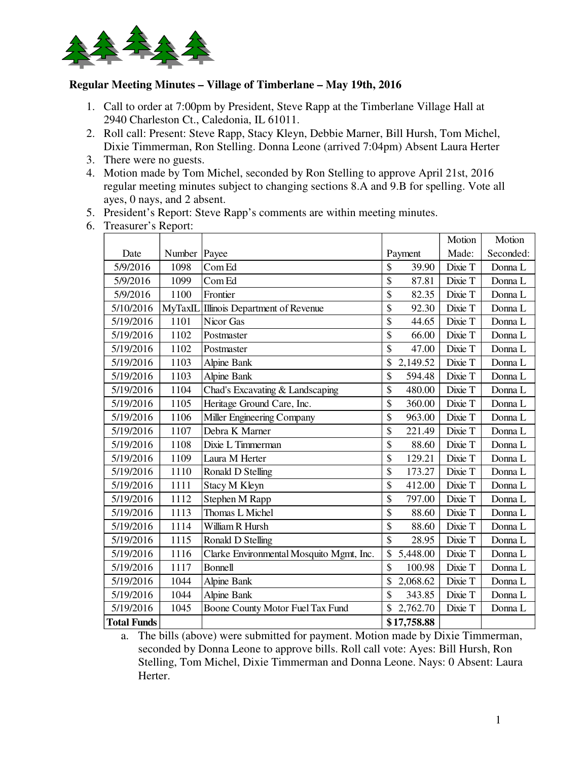

## **Regular Meeting Minutes – Village of Timberlane – May 19th, 2016**

- 1. Call to order at 7:00pm by President, Steve Rapp at the Timberlane Village Hall at 2940 Charleston Ct., Caledonia, IL 61011.
- 2. Roll call: Present: Steve Rapp, Stacy Kleyn, Debbie Marner, Bill Hursh, Tom Michel, Dixie Timmerman, Ron Stelling. Donna Leone (arrived 7:04pm) Absent Laura Herter
- 3. There were no guests.
- 4. Motion made by Tom Michel, seconded by Ron Stelling to approve April 21st, 2016 regular meeting minutes subject to changing sections 8.A and 9.B for spelling. Vote all ayes, 0 nays, and 2 absent.
- 5. President's Report: Steve Rapp's comments are within meeting minutes.
- 6. Treasurer's Report:

|                    |         |                                          |                          |             | Motion  | Motion    |
|--------------------|---------|------------------------------------------|--------------------------|-------------|---------|-----------|
| Date               | Number  | Payee                                    |                          | Payment     | Made:   | Seconded: |
| 5/9/2016           | 1098    | Com Ed                                   | \$                       | 39.90       | Dixie T | Donna L   |
| 5/9/2016           | 1099    | Com Ed                                   | \$                       | 87.81       | Dixie T | Donna L   |
| 5/9/2016           | 1100    | Frontier                                 | \$                       | 82.35       | Dixie T | Donna L   |
| 5/10/2016          | MyTaxIL | Illinois Department of Revenue           | \$                       | 92.30       | Dixie T | Donna L   |
| 5/19/2016          | 1101    | Nicor Gas                                | \$                       | 44.65       | Dixie T | Donna L   |
| 5/19/2016          | 1102    | Postmaster                               | \$                       | 66.00       | Dixie T | Donna L   |
| 5/19/2016          | 1102    | Postmaster                               | \$                       | 47.00       | Dixie T | Donna L   |
| 5/19/2016          | 1103    | <b>Alpine Bank</b>                       | \$                       | 2,149.52    | Dixie T | Donna L   |
| 5/19/2016          | 1103    | <b>Alpine Bank</b>                       | \$                       | 594.48      | Dixie T | Donna L   |
| 5/19/2016          | 1104    | Chad's Excavating & Landscaping          | \$                       | 480.00      | Dixie T | Donna L   |
| 5/19/2016          | 1105    | Heritage Ground Care, Inc.               | \$                       | 360.00      | Dixie T | Donna L   |
| 5/19/2016          | 1106    | Miller Engineering Company               | \$                       | 963.00      | Dixie T | Donna L   |
| 5/19/2016          | 1107    | Debra K Marner                           | \$                       | 221.49      | Dixie T | Donna L   |
| 5/19/2016          | 1108    | Dixie L Timmerman                        | \$                       | 88.60       | Dixie T | Donna L   |
| 5/19/2016          | 1109    | Laura M Herter                           | \$                       | 129.21      | Dixie T | Donna L   |
| 5/19/2016          | 1110    | Ronald D Stelling                        | \$                       | 173.27      | Dixie T | Donna L   |
| 5/19/2016          | 1111    | Stacy M Kleyn                            | \$                       | 412.00      | Dixie T | Donna L   |
| 5/19/2016          | 1112    | Stephen M Rapp                           | \$                       | 797.00      | Dixie T | Donna L   |
| 5/19/2016          | 1113    | Thomas L Michel                          | \$                       | 88.60       | Dixie T | Donna L   |
| 5/19/2016          | 1114    | William R Hursh                          | \$                       | 88.60       | Dixie T | Donna L   |
| 5/19/2016          | 1115    | Ronald D Stelling                        | $\overline{\mathcal{S}}$ | 28.95       | Dixie T | Donna L   |
| 5/19/2016          | 1116    | Clarke Environmental Mosquito Mgmt, Inc. | \$                       | 5,448.00    | Dixie T | Donna L   |
| 5/19/2016          | 1117    | Bonnell                                  | \$                       | 100.98      | Dixie T | Donna L   |
| 5/19/2016          | 1044    | <b>Alpine Bank</b>                       | \$                       | 2,068.62    | Dixie T | Donna L   |
| 5/19/2016          | 1044    | Alpine Bank                              | \$                       | 343.85      | Dixie T | Donna L   |
| 5/19/2016          | 1045    | Boone County Motor Fuel Tax Fund         |                          | 2,762.70    | Dixie T | Donna L   |
| <b>Total Funds</b> |         |                                          |                          | \$17,758.88 |         |           |

a. The bills (above) were submitted for payment. Motion made by Dixie Timmerman, seconded by Donna Leone to approve bills. Roll call vote: Ayes: Bill Hursh, Ron Stelling, Tom Michel, Dixie Timmerman and Donna Leone. Nays: 0 Absent: Laura Herter.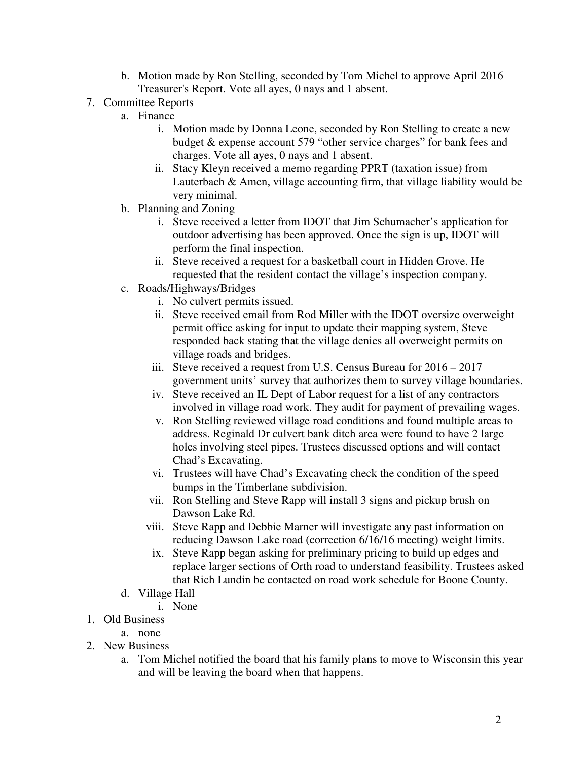- b. Motion made by Ron Stelling, seconded by Tom Michel to approve April 2016 Treasurer's Report. Vote all ayes, 0 nays and 1 absent.
- 7. Committee Reports
	- a. Finance
		- i. Motion made by Donna Leone, seconded by Ron Stelling to create a new budget & expense account 579 "other service charges" for bank fees and charges. Vote all ayes, 0 nays and 1 absent.
		- ii. Stacy Kleyn received a memo regarding PPRT (taxation issue) from Lauterbach & Amen, village accounting firm, that village liability would be very minimal.
	- b. Planning and Zoning
		- i. Steve received a letter from IDOT that Jim Schumacher's application for outdoor advertising has been approved. Once the sign is up, IDOT will perform the final inspection.
		- ii. Steve received a request for a basketball court in Hidden Grove. He requested that the resident contact the village's inspection company.
	- c. Roads/Highways/Bridges
		- i. No culvert permits issued.
		- ii. Steve received email from Rod Miller with the IDOT oversize overweight permit office asking for input to update their mapping system, Steve responded back stating that the village denies all overweight permits on village roads and bridges.
		- iii. Steve received a request from U.S. Census Bureau for 2016 2017 government units' survey that authorizes them to survey village boundaries.
		- iv. Steve received an IL Dept of Labor request for a list of any contractors involved in village road work. They audit for payment of prevailing wages.
		- v. Ron Stelling reviewed village road conditions and found multiple areas to address. Reginald Dr culvert bank ditch area were found to have 2 large holes involving steel pipes. Trustees discussed options and will contact Chad's Excavating.
		- vi. Trustees will have Chad's Excavating check the condition of the speed bumps in the Timberlane subdivision.
		- vii. Ron Stelling and Steve Rapp will install 3 signs and pickup brush on Dawson Lake Rd.
		- viii. Steve Rapp and Debbie Marner will investigate any past information on reducing Dawson Lake road (correction 6/16/16 meeting) weight limits.
		- ix. Steve Rapp began asking for preliminary pricing to build up edges and replace larger sections of Orth road to understand feasibility. Trustees asked that Rich Lundin be contacted on road work schedule for Boone County.
	- d. Village Hall
		- i. None
- 1. Old Business
	- a. none
- 2. New Business
	- a. Tom Michel notified the board that his family plans to move to Wisconsin this year and will be leaving the board when that happens.